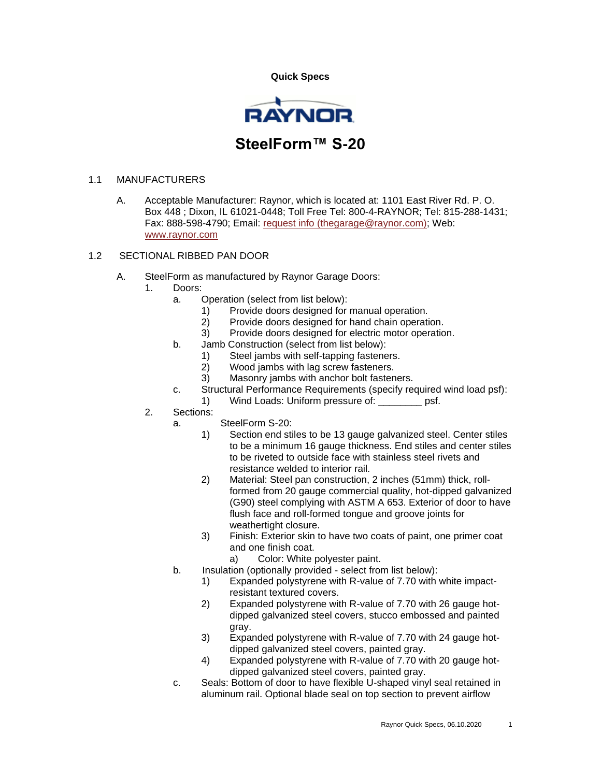**Quick Specs** 



## 1.1 MANUFACTURERS

A. Acceptable Manufacturer: Raynor, which is located at: 1101 East River Rd. P. O. Box 448 ; Dixon, IL 61021-0448; Toll Free Tel: 800-4-RAYNOR; Tel: 815-288-1431; Fax: 888-598-4790; Email: [request info \(thegarage@raynor.com\);](http://admin.arcat.com/users.pl?action=UserEmail&company=Raynor&coid=35092&rep=&fax=888-598-4790&message=RE:%20Spec%20Question%20(08360rgd):%20%20&mf=) Web: [www.raynor.com](http://www.raynor.com/)

## 1.2 SECTIONAL RIBBED PAN DOOR

- A. SteelForm as manufactured by Raynor Garage Doors:
	- 1. Doors:
		- a. Operation (select from list below):
			- 1) Provide doors designed for manual operation.
			- 2) Provide doors designed for hand chain operation.
			- 3) Provide doors designed for electric motor operation.
		- b. Jamb Construction (select from list below):
			-
			- 1) Steel jambs with self-tapping fasteners.<br>2) Wood jambs with lag screw fasteners. Wood jambs with lag screw fasteners.
			- 3) Masonry jambs with anchor bolt fasteners.
		- c. Structural Performance Requirements (specify required wind load psf):
			- 1) Wind Loads: Uniform pressure of: example psf.
	- 2. Sections:
		- a. SteelForm S-20:
			- 1) Section end stiles to be 13 gauge galvanized steel. Center stiles to be a minimum 16 gauge thickness. End stiles and center stiles to be riveted to outside face with stainless steel rivets and resistance welded to interior rail.
			- 2) Material: Steel pan construction, 2 inches (51mm) thick, rollformed from 20 gauge commercial quality, hot-dipped galvanized (G90) steel complying with ASTM A 653. Exterior of door to have flush face and roll-formed tongue and groove joints for weathertight closure.
			- 3) Finish: Exterior skin to have two coats of paint, one primer coat and one finish coat.
				- a) Color: White polyester paint.
		- b. Insulation (optionally provided select from list below):
			- 1) Expanded polystyrene with R-value of 7.70 with white impactresistant textured covers.
			- 2) Expanded polystyrene with R-value of 7.70 with 26 gauge hotdipped galvanized steel covers, stucco embossed and painted gray.
			- 3) Expanded polystyrene with R-value of 7.70 with 24 gauge hotdipped galvanized steel covers, painted gray.
			- 4) Expanded polystyrene with R-value of 7.70 with 20 gauge hotdipped galvanized steel covers, painted gray.
		- c. Seals: Bottom of door to have flexible U-shaped vinyl seal retained in aluminum rail. Optional blade seal on top section to prevent airflow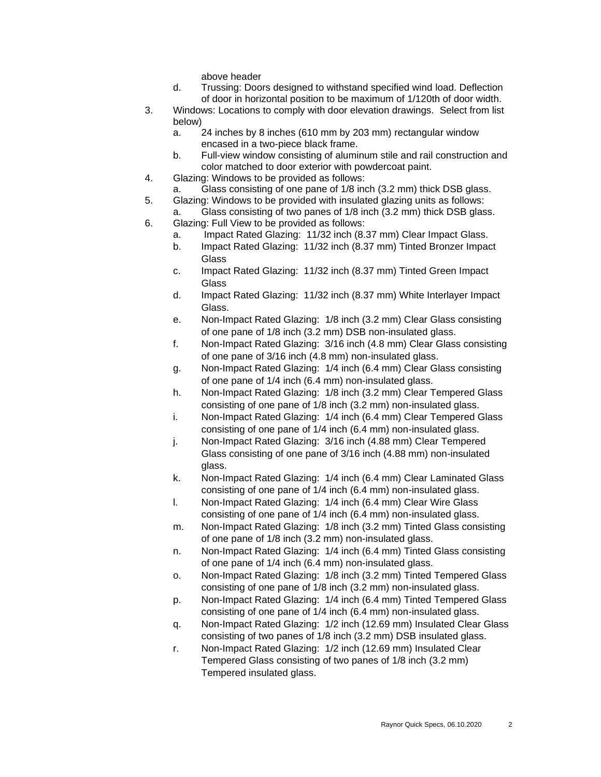above header

- d. Trussing: Doors designed to withstand specified wind load. Deflection of door in horizontal position to be maximum of 1/120th of door width.
- 3. Windows: Locations to comply with door elevation drawings. Select from list below)
	- a. 24 inches by 8 inches (610 mm by 203 mm) rectangular window encased in a two-piece black frame.
	- b. Full-view window consisting of aluminum stile and rail construction and color matched to door exterior with powdercoat paint.
- 4. Glazing: Windows to be provided as follows:
- a. Glass consisting of one pane of 1/8 inch (3.2 mm) thick DSB glass.
- 5. Glazing: Windows to be provided with insulated glazing units as follows: a. Glass consisting of two panes of 1/8 inch (3.2 mm) thick DSB glass.
- 6. Glazing: Full View to be provided as follows:
	- a. Impact Rated Glazing: 11/32 inch (8.37 mm) Clear Impact Glass.
	- b. Impact Rated Glazing: 11/32 inch (8.37 mm) Tinted Bronzer Impact **Glass**
	- c. Impact Rated Glazing: 11/32 inch (8.37 mm) Tinted Green Impact **Glass**
	- d. Impact Rated Glazing: 11/32 inch (8.37 mm) White Interlayer Impact Glass.
	- e. Non-Impact Rated Glazing: 1/8 inch (3.2 mm) Clear Glass consisting of one pane of 1/8 inch (3.2 mm) DSB non-insulated glass.
	- f. Non-Impact Rated Glazing: 3/16 inch (4.8 mm) Clear Glass consisting of one pane of 3/16 inch (4.8 mm) non-insulated glass.
	- g. Non-Impact Rated Glazing: 1/4 inch (6.4 mm) Clear Glass consisting of one pane of 1/4 inch (6.4 mm) non-insulated glass.
	- h. Non-Impact Rated Glazing: 1/8 inch (3.2 mm) Clear Tempered Glass consisting of one pane of 1/8 inch (3.2 mm) non-insulated glass.
	- i. Non-Impact Rated Glazing: 1/4 inch (6.4 mm) Clear Tempered Glass consisting of one pane of 1/4 inch (6.4 mm) non-insulated glass.
	- j. Non-Impact Rated Glazing: 3/16 inch (4.88 mm) Clear Tempered Glass consisting of one pane of 3/16 inch (4.88 mm) non-insulated glass.
	- k. Non-Impact Rated Glazing: 1/4 inch (6.4 mm) Clear Laminated Glass consisting of one pane of 1/4 inch (6.4 mm) non-insulated glass.
	- l. Non-Impact Rated Glazing: 1/4 inch (6.4 mm) Clear Wire Glass consisting of one pane of 1/4 inch (6.4 mm) non-insulated glass.
	- m. Non-Impact Rated Glazing: 1/8 inch (3.2 mm) Tinted Glass consisting of one pane of 1/8 inch (3.2 mm) non-insulated glass.
	- n. Non-Impact Rated Glazing: 1/4 inch (6.4 mm) Tinted Glass consisting of one pane of 1/4 inch (6.4 mm) non-insulated glass.
	- o. Non-Impact Rated Glazing: 1/8 inch (3.2 mm) Tinted Tempered Glass consisting of one pane of 1/8 inch (3.2 mm) non-insulated glass.
	- p. Non-Impact Rated Glazing: 1/4 inch (6.4 mm) Tinted Tempered Glass consisting of one pane of 1/4 inch (6.4 mm) non-insulated glass.
	- q. Non-Impact Rated Glazing: 1/2 inch (12.69 mm) Insulated Clear Glass consisting of two panes of 1/8 inch (3.2 mm) DSB insulated glass.
	- r. Non-Impact Rated Glazing: 1/2 inch (12.69 mm) Insulated Clear Tempered Glass consisting of two panes of 1/8 inch (3.2 mm) Tempered insulated glass.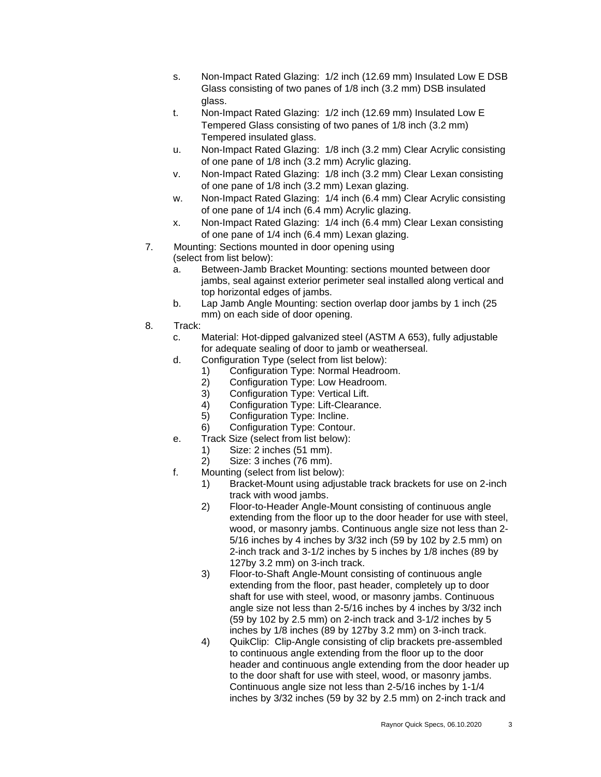- s. Non-Impact Rated Glazing: 1/2 inch (12.69 mm) Insulated Low E DSB Glass consisting of two panes of 1/8 inch (3.2 mm) DSB insulated glass.
- t. Non-Impact Rated Glazing: 1/2 inch (12.69 mm) Insulated Low E Tempered Glass consisting of two panes of 1/8 inch (3.2 mm) Tempered insulated glass.
- u. Non-Impact Rated Glazing: 1/8 inch (3.2 mm) Clear Acrylic consisting of one pane of 1/8 inch (3.2 mm) Acrylic glazing.
- v. Non-Impact Rated Glazing: 1/8 inch (3.2 mm) Clear Lexan consisting of one pane of 1/8 inch (3.2 mm) Lexan glazing.
- w. Non-Impact Rated Glazing: 1/4 inch (6.4 mm) Clear Acrylic consisting of one pane of 1/4 inch (6.4 mm) Acrylic glazing.
- x. Non-Impact Rated Glazing: 1/4 inch (6.4 mm) Clear Lexan consisting of one pane of 1/4 inch (6.4 mm) Lexan glazing.
- 7. Mounting: Sections mounted in door opening using
	- (select from list below):
		- a. Between-Jamb Bracket Mounting: sections mounted between door jambs, seal against exterior perimeter seal installed along vertical and top horizontal edges of jambs.
		- b. Lap Jamb Angle Mounting: section overlap door jambs by 1 inch (25 mm) on each side of door opening.
- 8. Track:
	- c. Material: Hot-dipped galvanized steel (ASTM A 653), fully adjustable for adequate sealing of door to jamb or weatherseal.
	- d. Configuration Type (select from list below):
		- 1) Configuration Type: Normal Headroom.
		- 2) Configuration Type: Low Headroom.
		- 3) Configuration Type: Vertical Lift.
		- 4) Configuration Type: Lift-Clearance.
		- 5) Configuration Type: Incline.
		- 6) Configuration Type: Contour.
	- e. Track Size (select from list below):
		- 1) Size: 2 inches (51 mm).
		- 2) Size: 3 inches (76 mm).
	- f. Mounting (select from list below):
		- 1) Bracket-Mount using adjustable track brackets for use on 2-inch track with wood jambs.
		- 2) Floor-to-Header Angle-Mount consisting of continuous angle extending from the floor up to the door header for use with steel, wood, or masonry jambs. Continuous angle size not less than 2- 5/16 inches by 4 inches by 3/32 inch (59 by 102 by 2.5 mm) on 2-inch track and 3-1/2 inches by 5 inches by 1/8 inches (89 by 127by 3.2 mm) on 3-inch track.
		- 3) Floor-to-Shaft Angle-Mount consisting of continuous angle extending from the floor, past header, completely up to door shaft for use with steel, wood, or masonry jambs. Continuous angle size not less than 2-5/16 inches by 4 inches by 3/32 inch (59 by 102 by 2.5 mm) on 2-inch track and 3-1/2 inches by 5 inches by 1/8 inches (89 by 127by 3.2 mm) on 3-inch track.
		- 4) QuikClip: Clip-Angle consisting of clip brackets pre-assembled to continuous angle extending from the floor up to the door header and continuous angle extending from the door header up to the door shaft for use with steel, wood, or masonry jambs. Continuous angle size not less than 2-5/16 inches by 1-1/4 inches by 3/32 inches (59 by 32 by 2.5 mm) on 2-inch track and